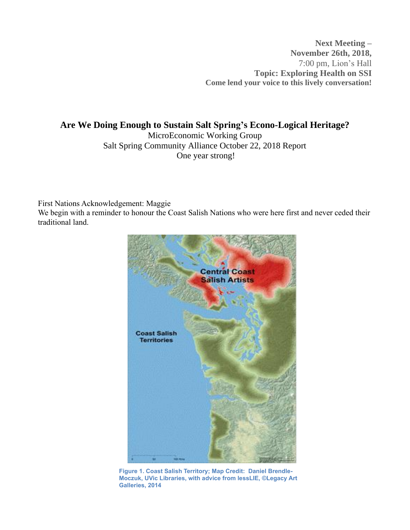**Next Meeting – November 26th, 2018,** 7:00 pm, Lion's Hall **Topic: Exploring Health on SSI Come lend your voice to this lively conversation!**

**Are We Doing Enough to Sustain Salt Spring's Econo-Logical Heritage?** MicroEconomic Working Group Salt Spring Community Alliance October 22, 2018 Report One year strong!

First Nations Acknowledgement: Maggie

We begin with a reminder to honour the Coast Salish Nations who were here first and never ceded their traditional land.



**Figure 1. Coast Salish Territory; Map Credit: Daniel Brendle-Moczuk, UVic Libraries, with advice from lessLIE, ©Legacy Art Galleries, 2014**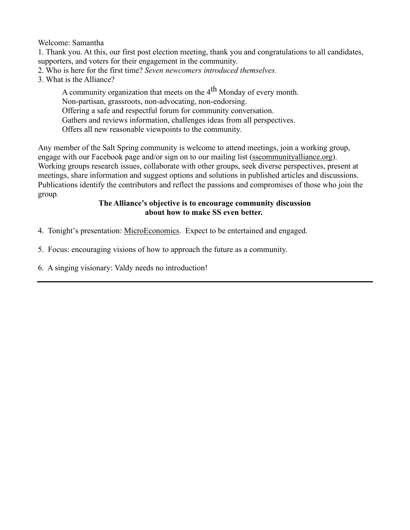Welcome: Samantha

1. Thank you. At this, our first post election meeting, thank you and congratulations to all candidates, supporters, and voters for their engagement in the community.

- 2. Who is here for the first time? *Seven newcomers introduced themselves.*
- 3. What is the Alliance?

A community organization that meets on the  $4<sup>th</sup>$  Monday of every month. Non-partisan, grassroots, non-advocating, non-endorsing. Offering a safe and respectful forum for community conversation. Gathers and reviews information, challenges ideas from all perspectives. Offers all new reasonable viewpoints to the community.

Any member of the Salt Spring community is welcome to attend meetings, join a working group, engage with our Facebook page and/or sign on to our mailing list [\(sscommunityalliance.org\)](http://sscommunityalliance.org/). Working groups research issues, collaborate with other groups, seek diverse perspectives, present at meetings, share information and suggest options and solutions in published articles and discussions. Publications identify the contributors and reflect the passions and compromises of those who join the group*.*

### **The Alliance's objective is to encourage community discussion about how to make SS even better.**

4. Tonight's presentation: MicroEconomics. Expect to be entertained and engaged.

5. Focus: encouraging visions of how to approach the future as a community.

6. A singing visionary: Valdy needs no introduction!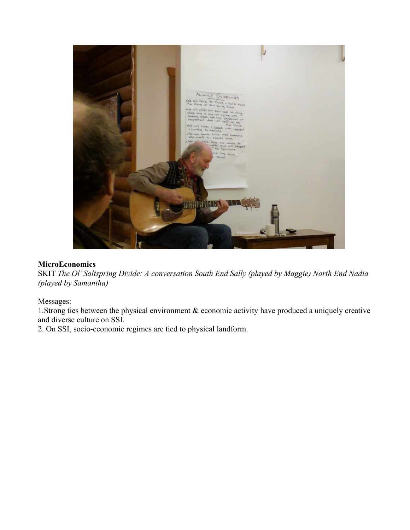

### **MicroEconomics**

SKIT *The Ol' Saltspring Divide: A conversation South End Sally (played by Maggie) North End Nadia (played by Samantha)*

# Messages:

1.Strong ties between the physical environment & economic activity have produced a uniquely creative and diverse culture on SSI.

2. On SSI, socio-economic regimes are tied to physical landform.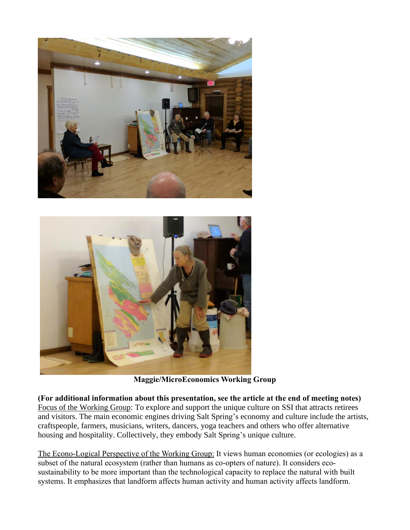



**Maggie/MicroEconomics Working Group**

**(For additional information about this presentation, see the article at the end of meeting notes)** Focus of the Working Group: To explore and support the unique culture on SSI that attracts retirees and visitors. The main economic engines driving Salt Spring's economy and culture include the artists, craftspeople, farmers, musicians, writers, dancers, yoga teachers and others who offer alternative housing and hospitality. Collectively, they embody Salt Spring's unique culture.

The Econo-Logical Perspective of the Working Group: It views human economies (or ecologies) as a subset of the natural ecosystem (rather than humans as co-opters of nature). It considers ecosustainability to be more important than the technological capacity to replace the natural with built systems. It emphasizes that landform affects human activity and human activity affects landform.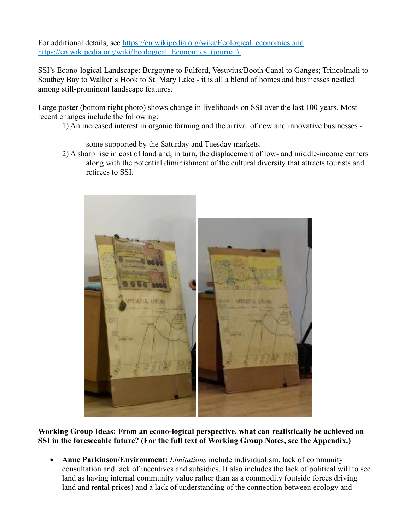For additional details, see [https://en.wikipedia.org/wiki/Ecological\\_economics](https://en.wikipedia.org/wiki/Ecological_economics) and https://en.wikipedia.org/wiki/Ecological Economics (journal).

SSI's Econo-logical Landscape: Burgoyne to Fulford, Vesuvius/Booth Canal to Ganges; Trincolmali to Southey Bay to Walker's Hook to St. Mary Lake - it is all a blend of homes and businesses nestled among still-prominent landscape features.

Large poster (bottom right photo) shows change in livelihoods on SSI over the last 100 years. Most recent changes include the following:

1) An increased interest in organic farming and the arrival of new and innovative businesses -

some supported by the Saturday and Tuesday markets.

2) A sharp rise in cost of land and, in turn, the displacement of low- and middle-income earners along with the potential diminishment of the cultural diversity that attracts tourists and retirees to SSI.



**Working Group Ideas: From an econo-logical perspective, what can realistically be achieved on SSI in the foreseeable future? (For the full text of Working Group Notes, see the Appendix.)**

• **Anne Parkinson/Environment:** *Limitations* include individualism, lack of community consultation and lack of incentives and subsidies. It also includes the lack of political will to see land as having internal community value rather than as a commodity (outside forces driving land and rental prices) and a lack of understanding of the connection between ecology and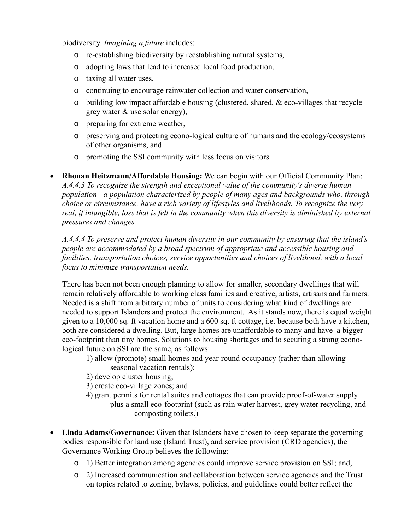biodiversity. *Imagining a future* includes:

- o re-establishing biodiversity by reestablishing natural systems,
- o adopting laws that lead to increased local food production,
- o taxing all water uses,
- o continuing to encourage rainwater collection and water conservation,
- o building low impact affordable housing (clustered, shared,  $\&$  eco-villages that recycle grey water & use solar energy),
- o preparing for extreme weather,
- o preserving and protecting econo-logical culture of humans and the ecology/ecosystems of other organisms, and
- o promoting the SSI community with less focus on visitors.

• **Rhonan Heitzmann/Affordable Housing:** We can begin with our Official Community Plan: *A.4.4.3 To recognize the strength and exceptional value of the community's diverse human population - a population characterized by people of many ages and backgrounds who, through choice or circumstance, have a rich variety of lifestyles and livelihoods. To recognize the very real, if intangible, loss that is felt in the community when this diversity is diminished by external pressures and changes.*

*A.4.4.4 To preserve and protect human diversity in our community by ensuring that the island's people are accommodated by a broad spectrum of appropriate and accessible housing and facilities, transportation choices, service opportunities and choices of livelihood, with a local focus to minimize transportation needs.*

There has been not been enough planning to allow for smaller, secondary dwellings that will remain relatively affordable to working class families and creative, artists, artisans and farmers. Needed is a shift from arbitrary number of units to considering what kind of dwellings are needed to support Islanders and protect the environment. As it stands now, there is equal weight given to a 10,000 sq. ft vacation home and a 600 sq. ft cottage, i.e. because both have a kitchen, both are considered a dwelling. But, large homes are unaffordable to many and have a bigger eco-footprint than tiny homes. Solutions to housing shortages and to securing a strong econological future on SSI are the same, as follows:

- 1) allow (promote) small homes and year-round occupancy (rather than allowing seasonal vacation rentals);
- 2) develop cluster housing;
- 3) create eco-village zones; and
- 4) grant permits for rental suites and cottages that can provide proof-of-water supply plus a small eco-footprint (such as rain water harvest, grey water recycling, and composting toilets.)
- **Linda Adams/Governance:** Given that Islanders have chosen to keep separate the governing bodies responsible for land use (Island Trust), and service provision (CRD agencies), the Governance Working Group believes the following:
	- o 1) Better integration among agencies could improve service provision on SSI; and,
	- o 2) Increased communication and collaboration between service agencies and the Trust on topics related to zoning, bylaws, policies, and guidelines could better reflect the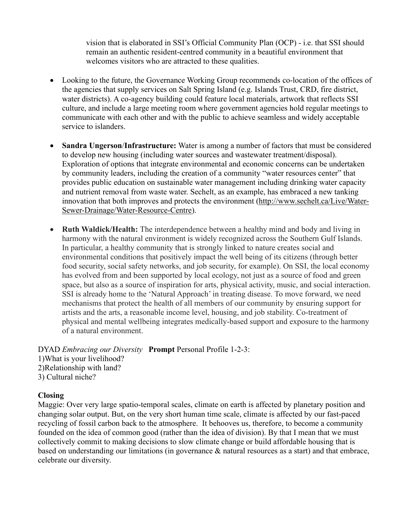vision that is elaborated in SSI's Official Community Plan (OCP) - i.e. that SSI should remain an authentic resident-centred community in a beautiful environment that welcomes visitors who are attracted to these qualities.

- Looking to the future, the Governance Working Group recommends co-location of the offices of the agencies that supply services on Salt Spring Island (e.g. Islands Trust, CRD, fire district, water districts). A co-agency building could feature local materials, artwork that reflects SSI culture, and include a large meeting room where government agencies hold regular meetings to communicate with each other and with the public to achieve seamless and widely acceptable service to islanders.
- **Sandra Ungerson**/**Infrastructure:** Water is among a number of factors that must be considered to develop new housing (including water sources and wastewater treatment/disposal). Exploration of options that integrate environmental and economic concerns can be undertaken by community leaders, including the creation of a community "water resources center" that provides public education on sustainable water management including drinking water capacity and nutrient removal from waste water. Sechelt, as an example, has embraced a new tanking innovation that both improves and protects the environment [\(http://www.sechelt.ca/Live/Water-](http://www.sechelt.ca/Live/Water-Sewer-Drainage/Water-Resource-Centre)[Sewer-Drainage/Water-Resource-Centre\)](http://www.sechelt.ca/Live/Water-Sewer-Drainage/Water-Resource-Centre).
- **Ruth Waldick/Health:** The interdependence between a healthy mind and body and living in harmony with the natural environment is widely recognized across the Southern Gulf Islands. In particular, a healthy community that is strongly linked to nature creates social and environmental conditions that positively impact the well being of its citizens (through better food security, social safety networks, and job security, for example). On SSI, the local economy has evolved from and been supported by local ecology, not just as a source of food and green space, but also as a source of inspiration for arts, physical activity, music, and social interaction. SSI is already home to the 'Natural Approach' in treating disease. To move forward, we need mechanisms that protect the health of all members of our community by ensuring support for artists and the arts, a reasonable income level, housing, and job stability. Co-treatment of physical and mental wellbeing integrates medically-based support and exposure to the harmony of a natural environment.

DYAD *Embracing our Diversity* **Prompt** Personal Profile 1-2-3: 1)What is your livelihood? 2)Relationship with land? 3) Cultural niche?

#### **Closing**

Maggie: Over very large spatio-temporal scales, climate on earth is affected by planetary position and changing solar output. But, on the very short human time scale, climate is affected by our fast-paced recycling of fossil carbon back to the atmosphere. It behooves us, therefore, to become a community founded on the idea of common good (rather than the idea of division). By that I mean that we must collectively commit to making decisions to slow climate change or build affordable housing that is based on understanding our limitations (in governance & natural resources as a start) and that embrace, celebrate our diversity.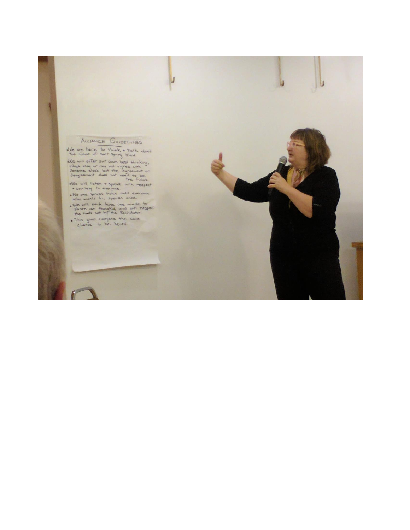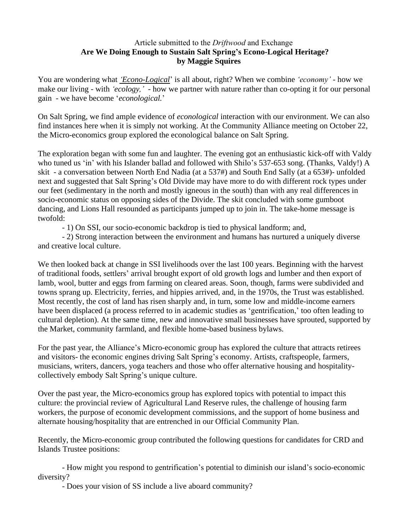### Article submitted to the *Driftwood* and Exchange **Are We Doing Enough to Sustain Salt Spring's Econo-Logical Heritage? by Maggie Squires**

You are wondering what *'Econo-Logical*' is all about, right? When we combine *'economy'* - how we make our living - with *'ecology,'* - how we partner with nature rather than co-opting it for our personal gain - we have become '*econological.*'

On Salt Spring, we find ample evidence of *econological* interaction with our environment. We can also find instances here when it is simply not working. At the Community Alliance meeting on October 22, the Micro-economics group explored the econological balance on Salt Spring.

The exploration began with some fun and laughter. The evening got an enthusiastic kick-off with Valdy who tuned us 'in' with his Islander ballad and followed with Shilo's 537-653 song. (Thanks, Valdy!) A skit - a conversation between North End Nadia (at a 537#) and South End Sally (at a 653#)- unfolded next and suggested that Salt Spring's Old Divide may have more to do with different rock types under our feet (sedimentary in the north and mostly igneous in the south) than with any real differences in socio-economic status on opposing sides of the Divide. The skit concluded with some gumboot dancing, and Lions Hall resounded as participants jumped up to join in. The take-home message is twofold:

- 1) On SSI, our socio-economic backdrop is tied to physical landform; and,

- 2) Strong interaction between the environment and humans has nurtured a uniquely diverse and creative local culture.

We then looked back at change in SSI livelihoods over the last 100 years. Beginning with the harvest of traditional foods, settlers' arrival brought export of old growth logs and lumber and then export of lamb, wool, butter and eggs from farming on cleared areas. Soon, though, farms were subdivided and towns sprang up. Electricity, ferries, and hippies arrived, and, in the 1970s, the Trust was established. Most recently, the cost of land has risen sharply and, in turn, some low and middle-income earners have been displaced (a process referred to in academic studies as 'gentrification,' too often leading to cultural depletion). At the same time, new and innovative small businesses have sprouted, supported by the Market, community farmland, and flexible home-based business bylaws.

For the past year, the Alliance's Micro-economic group has explored the culture that attracts retirees and visitors- the economic engines driving Salt Spring's economy. Artists, craftspeople, farmers, musicians, writers, dancers, yoga teachers and those who offer alternative housing and hospitalitycollectively embody Salt Spring's unique culture.

Over the past year, the Micro-economics group has explored topics with potential to impact this culture: the provincial review of Agricultural Land Reserve rules, the challenge of housing farm workers, the purpose of economic development commissions, and the support of home business and alternate housing/hospitality that are entrenched in our Official Community Plan.

Recently, the Micro-economic group contributed the following questions for candidates for CRD and Islands Trustee positions:

- How might you respond to gentrification's potential to diminish our island's socio-economic diversity?

- Does your vision of SS include a live aboard community?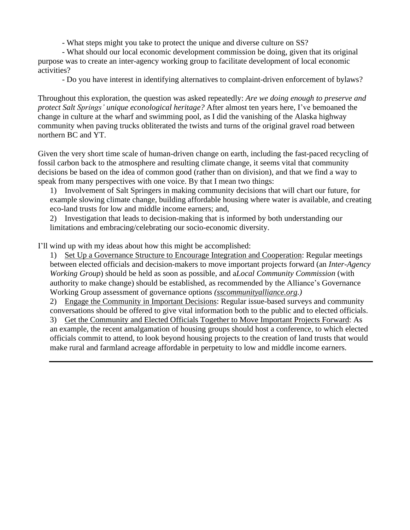- What steps might you take to protect the unique and diverse culture on SS?

- What should our local economic development commission be doing, given that its original purpose was to create an inter-agency working group to facilitate development of local economic activities?

- Do you have interest in identifying alternatives to complaint-driven enforcement of bylaws?

Throughout this exploration, the question was asked repeatedly: *Are we doing enough to preserve and protect Salt Springs' unique econological heritage?* After almost ten years here, I've bemoaned the change in culture at the wharf and swimming pool, as I did the vanishing of the Alaska highway community when paving trucks obliterated the twists and turns of the original gravel road between northern BC and YT.

Given the very short time scale of human-driven change on earth, including the fast-paced recycling of fossil carbon back to the atmosphere and resulting climate change, it seems vital that community decisions be based on the idea of common good (rather than on division), and that we find a way to speak from many perspectives with one voice. By that I mean two things:

1) Involvement of Salt Springers in making community decisions that will chart our future, for example slowing climate change, building affordable housing where water is available, and creating eco-land trusts for low and middle income earners; and,

2) Investigation that leads to decision-making that is informed by both understanding our limitations and embracing/celebrating our socio-economic diversity.

I'll wind up with my ideas about how this might be accomplished:

1) Set Up a Governance Structure to Encourage Integration and Cooperation: Regular meetings between elected officials and decision-makers to move important projects forward (an *Inter-Agency Working Group*) should be held as soon as possible, and a*Local Community Commission* (with authority to make change) should be established, as recommended by the Alliance's Governance Working Group assessment of governance options *[\(sscommunityalliance.org.](http://sscommunityalliance.org/))*

2) Engage the Community in Important Decisions: Regular issue-based surveys and community conversations should be offered to give vital information both to the public and to elected officials.

3) Get the Community and Elected Officials Together to Move Important Projects Forward: As an example, the recent amalgamation of housing groups should host a conference, to which elected officials commit to attend, to look beyond housing projects to the creation of land trusts that would make rural and farmland acreage affordable in perpetuity to low and middle income earners.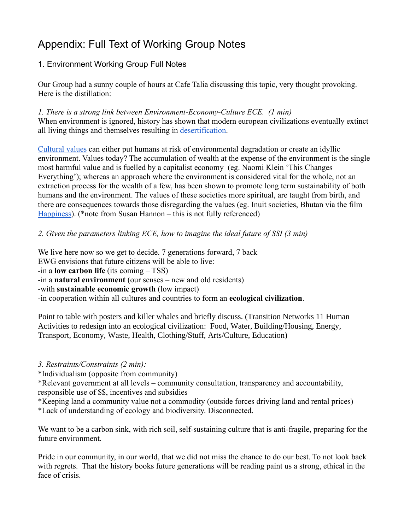# Appendix: Full Text of Working Group Notes

# 1. Environment Working Group Full Notes

Our Group had a sunny couple of hours at Cafe Talia discussing this topic, very thought provoking. Here is the distillation:

*1. There is a strong link between Environment-Economy-Culture ECE. (1 min)* When environment is ignored, history has shown that modern european civilizations eventually extinct all living things and themselves resulting in [desertification.](https://en.wikipedia.org/wiki/Desertification)

[Cultural](https://www.merriam-webster.com/dictionary/culture) values can either put humans at risk of environmental degradation or create an idyllic environment. Values today? The accumulation of wealth at the expense of the environment is the single most harmful value and is fuelled by a capitalist economy (eg. Naomi Klein 'This Changes Everything'); whereas an approach where the environment is considered vital for the whole, not an extraction process for the wealth of a few, has been shown to promote long term sustainability of both humans and the environment. The values of these societies more spiritual, are taught from birth, and there are consequences towards those disregarding the values (eg. Inuit societies, Bhutan via the film [Happiness\)](https://www.imdb.com/title/tt3458776/). (\*note from Susan Hannon – this is not fully referenced)

### *2. Given the parameters linking ECE, how to imagine the ideal future of SSI (3 min)*

We live here now so we get to decide. 7 generations forward, 7 back EWG envisions that future citizens will be able to live: -in a **low carbon life** (its coming – TSS) -in a **natural environment** (our senses – new and old residents) -with **sustainable economic growth** (low impact) -in cooperation within all cultures and countries to form an **ecological civilization**.

Point to table with posters and killer whales and briefly discuss. (Transition Networks 11 Human Activities to redesign into an ecological civilization: Food, Water, Building/Housing, Energy, Transport, Economy, Waste, Health, Clothing/Stuff, Arts/Culture, Education)

# *3. Restraints/Constraints (2 min):*

\*Individualism (opposite from community)

\*Relevant government at all levels – community consultation, transparency and accountability, responsible use of \$\$, incentives and subsidies

\*Keeping land a community value not a commodity (outside forces driving land and rental prices) \*Lack of understanding of ecology and biodiversity. Disconnected.

We want to be a carbon sink, with rich soil, self-sustaining culture that is anti-fragile, preparing for the future environment.

Pride in our community, in our world, that we did not miss the chance to do our best. To not look back with regrets. That the history books future generations will be reading paint us a strong, ethical in the face of crisis.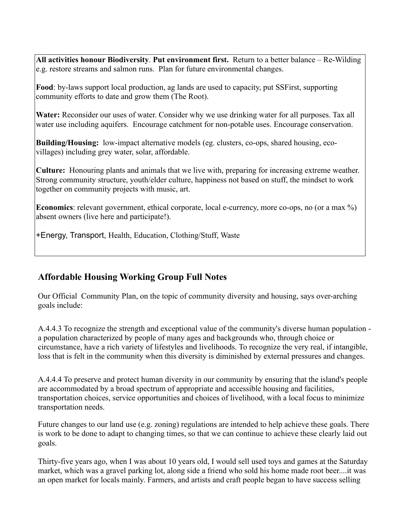**All activities honour Biodiversity**. **Put environment first.** Return to a better balance – Re-Wilding e.g. restore streams and salmon runs. Plan for future environmental changes.

**Food**: by-laws support local production, ag lands are used to capacity, put SSFirst, supporting community efforts to date and grow them (The Root).

**Water:** Reconsider our uses of water. Consider why we use drinking water for all purposes. Tax all water use including aquifers. Encourage catchment for non-potable uses. Encourage conservation.

**Building/Housing:** low-impact alternative models (eg. clusters, co-ops, shared housing, ecovillages) including grey water, solar, affordable.

**Culture:** Honouring plants and animals that we live with, preparing for increasing extreme weather. Strong community structure, youth/elder culture, happiness not based on stuff, the mindset to work together on community projects with music, art.

**Economics**: relevant government, ethical corporate, local e-currency, more co-ops, no (or a max %) absent owners (live here and participate!).

+Energy, Transport, Health, Education, Clothing/Stuff, Waste

# **Affordable Housing Working Group Full Notes**

Our Official Community Plan, on the topic of community diversity and housing, says over-arching goals include:

A.4.4.3 To recognize the strength and exceptional value of the community's diverse human population a population characterized by people of many ages and backgrounds who, through choice or circumstance, have a rich variety of lifestyles and livelihoods. To recognize the very real, if intangible, loss that is felt in the community when this diversity is diminished by external pressures and changes.

A.4.4.4 To preserve and protect human diversity in our community by ensuring that the island's people are accommodated by a broad spectrum of appropriate and accessible housing and facilities, transportation choices, service opportunities and choices of livelihood, with a local focus to minimize transportation needs.

Future changes to our land use (e.g. zoning) regulations are intended to help achieve these goals. There is work to be done to adapt to changing times, so that we can continue to achieve these clearly laid out goals.

Thirty-five years ago, when I was about 10 years old, I would sell used toys and games at the Saturday market, which was a gravel parking lot, along side a friend who sold his home made root beer....it was an open market for locals mainly. Farmers, and artists and craft people began to have success selling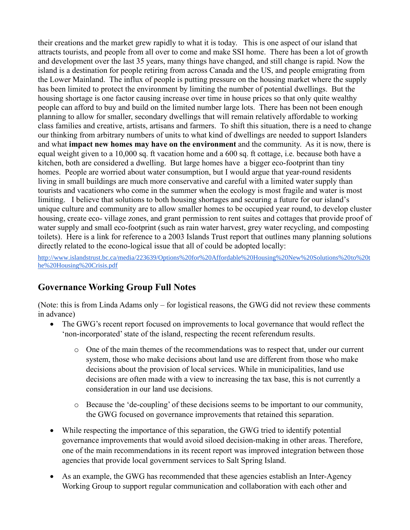their creations and the market grew rapidly to what it is today. This is one aspect of our island that attracts tourists, and people from all over to come and make SSI home. There has been a lot of growth and development over the last 35 years, many things have changed, and still change is rapid. Now the island is a destination for people retiring from across Canada and the US, and people emigrating from the Lower Mainland. The influx of people is putting pressure on the housing market where the supply has been limited to protect the environment by limiting the number of potential dwellings. But the housing shortage is one factor causing increase over time in house prices so that only quite wealthy people can afford to buy and build on the limited number large lots. There has been not been enough planning to allow for smaller, secondary dwellings that will remain relatively affordable to working class families and creative, artists, artisans and farmers. To shift this situation, there is a need to change our thinking from arbitrary numbers of units to what kind of dwellings are needed to support Islanders and what **impact new homes may have on the environment** and the community. As it is now, there is equal weight given to a 10,000 sq. ft vacation home and a 600 sq. ft cottage, i.e. because both have a kitchen, both are considered a dwelling. But large homes have a bigger eco-footprint than tiny homes. People are worried about water consumption, but I would argue that year-round residents living in small buildings are much more conservative and careful with a limited water supply than tourists and vacationers who come in the summer when the ecology is most fragile and water is most limiting. I believe that solutions to both housing shortages and securing a future for our island's unique culture and community are to allow smaller homes to be occupied year round, to develop cluster housing, create eco- village zones, and grant permission to rent suites and cottages that provide proof of water supply and small eco-footprint (such as rain water harvest, grey water recycling, and composting toilets). Here is a link for reference to a 2003 Islands Trust report that outlines many planning solutions directly related to the econo-logical issue that all of could be adopted locally:

[http://www.islandstrust.bc.ca/media/223639/Options%20for%20Affordable%20Housing%20New%20Solutions%20to%20t](http://www.islandstrust.bc.ca/media/223639/Options%2520for%2520Affordable%2520Housing%2520New%2520Solutions%2520to%2520the%2520Housing%2520Crisis.pdf) [he%20Housing%20Crisis.pdf](http://www.islandstrust.bc.ca/media/223639/Options%2520for%2520Affordable%2520Housing%2520New%2520Solutions%2520to%2520the%2520Housing%2520Crisis.pdf)

# **Governance Working Group Full Notes**

(Note: this is from Linda Adams only – for logistical reasons, the GWG did not review these comments in advance)

- The GWG's recent report focused on improvements to local governance that would reflect the 'non-incorporated'state of the island, respecting the recent referendum results.
	- o One of the main themes of the recommendations was to respect that, under our current system, those who make decisions about land use are different from those who make decisions about the provision of local services. While in municipalities, land use decisions are often made with a view to increasing the tax base, this is not currently a consideration in our land use decisions.
	- o Because the 'de-coupling' of these decisions seems to be important to our community, the GWG focused on governance improvements that retained this separation.
- While respecting the importance of this separation, the GWG tried to identify potential governance improvements that would avoid siloed decision-making in other areas. Therefore, one of the main recommendations in its recent report was improved integration between those agencies that provide local government services to Salt Spring Island.
- As an example, the GWG has recommended that these agencies establish an Inter-Agency Working Group to support regular communication and collaboration with each other and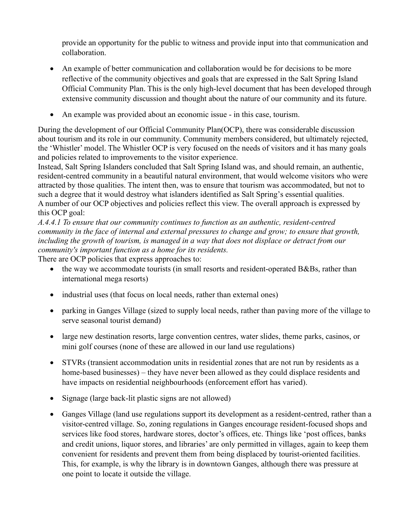provide an opportunity for the public to witness and provide input into that communication and collaboration.

- An example of better communication and collaboration would be for decisions to be more reflective of the community objectives and goals that are expressed in the Salt Spring Island Official Community Plan. This is the only high-level document that has been developed through extensive community discussion and thought about the nature of our community and its future.
- An example was provided about an economic issue in this case, tourism.

During the development of our Official Community Plan(OCP), there was considerable discussion about tourism and its role in our community. Community members considered, but ultimately rejected, the 'Whistler' model. The Whistler OCP is very focused on the needs of visitors and it has many goals and policies related to improvements to the visitor experience.

Instead, Salt Spring Islanders concluded that Salt Spring Island was, and should remain, an authentic, resident-centred community in a beautiful natural environment, that would welcome visitors who were attracted by those qualities. The intent then, was to ensure that tourism was accommodated, but not to such a degree that it would destroy what islanders identified as Salt Spring's essential qualities. A number of our OCP objectives and policies reflect this view. The overall approach is expressed by this OCP goal:

*A.4.4.1 To ensure that our community continues to function as an authentic, resident-centred community in the face of internal and external pressures to change and grow; to ensure that growth, including the growth of tourism, is managed in a way that does not displace or detract from our community's important function as a home for its residents.*

There are OCP policies that express approaches to:

- the way we accommodate tourists (in small resorts and resident-operated B&Bs, rather than international mega resorts)
- industrial uses (that focus on local needs, rather than external ones)
- parking in Ganges Village (sized to supply local needs, rather than paving more of the village to serve seasonal tourist demand)
- large new destination resorts, large convention centres, water slides, theme parks, casinos, or mini golf courses (none of these are allowed in our land use regulations)
- STVRs (transient accommodation units in residential zones that are not run by residents as a home-based businesses) – they have never been allowed as they could displace residents and have impacts on residential neighbourhoods (enforcement effort has varied).
- Signage (large back-lit plastic signs are not allowed)
- Ganges Village (land use regulations support its development as a resident-centred, rather than a visitor-centred village. So, zoning regulations in Ganges encourage resident-focused shops and services like food stores, hardware stores, doctor's offices, etc. Things like 'post offices, banks and credit unions, liquor stores, and libraries' are only permitted in villages, again to keep them convenient for residents and prevent them from being displaced by tourist-oriented facilities. This, for example, is why the library is in downtown Ganges, although there was pressure at one point to locate it outside the village.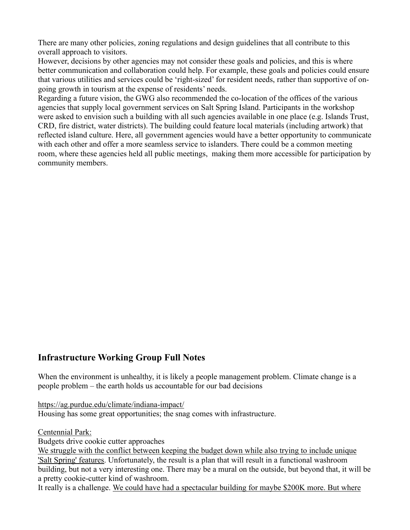There are many other policies, zoning regulations and design guidelines that all contribute to this overall approach to visitors.

However, decisions by other agencies may not consider these goals and policies, and this is where better communication and collaboration could help. For example, these goals and policies could ensure that various utilities and services could be 'right-sized' for resident needs, rather than supportive of ongoing growth in tourism at the expense of residents' needs.

Regarding a future vision, the GWG also recommended the co-location of the offices of the various agencies that supply local government services on Salt Spring Island. Participants in the workshop were asked to envision such a building with all such agencies available in one place (e.g. Islands Trust, CRD, fire district, water districts). The building could feature local materials (including artwork) that reflected island culture. Here, all government agencies would have a better opportunity to communicate with each other and offer a more seamless service to islanders. There could be a common meeting room, where these agencies held all public meetings, making them more accessible for participation by community members.

# **Infrastructure Working Group Full Notes**

When the environment is unhealthy, it is likely a people management problem. Climate change is a people problem – the earth holds us accountable for our bad decisions

<https://ag.purdue.edu/climate/indiana-impact/>

Housing has some great opportunities; the snag comes with infrastructure.

Centennial Park:

Budgets drive cookie cutter approaches

We struggle with the conflict between keeping the budget down while also trying to include unique 'Salt Spring' features. Unfortunately, the result is a plan that will result in a functional washroom building, but not a very interesting one. There may be a mural on the outside, but beyond that, it will be a pretty cookie-cutter kind of washroom.

It really is a challenge. We could have had a spectacular building for maybe \$200K more. But where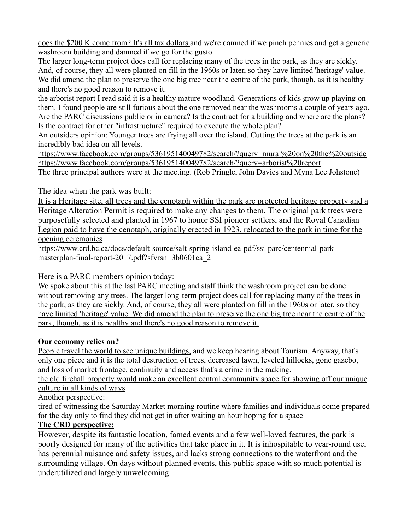does the \$200 K come from? It's all tax dollars and we're damned if we pinch pennies and get a generic washroom building and damned if we go for the gusto

The larger long-term project does call for replacing many of the trees in the park, as they are sickly. And, of course, they all were planted on fill in the 1960s or later, so they have limited 'heritage' value. We did amend the plan to preserve the one big tree near the centre of the park, though, as it is healthy and there's no good reason to remove it.

the arborist report I read said it is a healthy mature woodland. Generations of kids grow up playing on them. I found people are still furious about the one removed near the washrooms a couple of years ago. Are the PARC discussions public or in camera? Is the contract for a building and where are the plans? Is the contract for other "infrastructure" required to execute the whole plan?

An outsiders opinion: Younger trees are frying all over the island. Cutting the trees at the park is an incredibly bad idea on all levels.

[https://www.facebook.com/groups/536195140049782/search/?query=mural%20on%20the%20outside](https://www.facebook.com/groups/536195140049782/search/?query=mural%2520on%2520the%2520outside) [https://www.facebook.com/groups/536195140049782/search/?query=arborist%20report](https://www.facebook.com/groups/536195140049782/search/?query=arborist%2520report) The three principal authors were at the meeting. (Rob Pringle, John Davies and Myna Lee Johstone)

The idea when the park was built:

It is a Heritage site, all trees and the cenotaph within the park are protected heritage property and a Heritage Alteration Permit is required to make any changes to them. The original park trees were purposefully selected and planted in 1967 to honor SSI pioneer settlers, and the Royal Canadian Legion paid to have the cenotaph, originally erected in 1923, relocated to the park in time for the opening ceremonies

[https://www.crd.bc.ca/docs/default-source/salt-spring-island-ea-pdf/ssi-parc/centennial-park](https://www.crd.bc.ca/docs/default-source/salt-spring-island-ea-pdf/ssi-parc/centennial-park-masterplan-final-report-2017.pdf?sfvrsn=3b0601ca_2)[masterplan-final-report-2017.pdf?sfvrsn=3b0601ca\\_2](https://www.crd.bc.ca/docs/default-source/salt-spring-island-ea-pdf/ssi-parc/centennial-park-masterplan-final-report-2017.pdf?sfvrsn=3b0601ca_2)

Here is a PARC members opinion today:

We spoke about this at the last PARC meeting and staff think the washroom project can be done without removing any trees. The larger long-term project does call for replacing many of the trees in the park, as they are sickly. And, of course, they all were planted on fill in the 1960s or later, so they have limited 'heritage' value. We did amend the plan to preserve the one big tree near the centre of the park, though, as it is healthy and there's no good reason to remove it.

# **Our economy relies on?**

People travel the world to see unique buildings, and we keep hearing about Tourism. Anyway, that's only one piece and it is the total destruction of trees, decreased lawn, leveled hillocks, gone gazebo, and loss of market frontage, continuity and access that's a crime in the making.

the old firehall property would make an excellent central community space for showing off our unique culture in all kinds of ways

Another perspective:

tired of witnessing the Saturday Market morning routine where families and individuals come prepared for the day only to find they did not get in after waiting an hour hoping for a space

# **The CRD perspective:**

However, despite its fantastic location, famed events and a few well-loved features, the park is poorly designed for many of the activities that take place in it. It is inhospitable to year-round use, has perennial nuisance and safety issues, and lacks strong connections to the waterfront and the surrounding village. On days without planned events, this public space with so much potential is underutilized and largely unwelcoming.